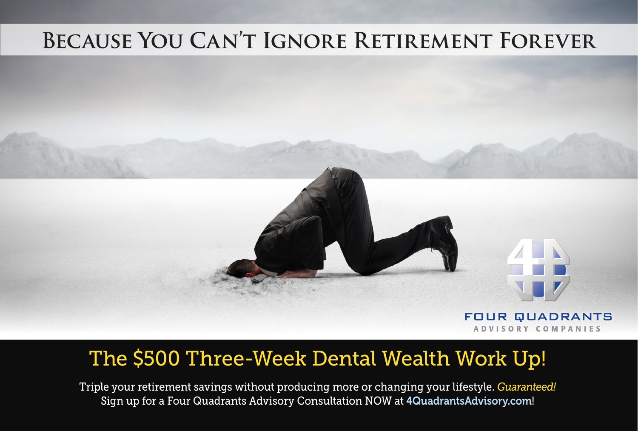## **Because You Can't Ignore Retirement Forever**



## The \$500 Three-Week Dental Wealth Work Up!

Triple your retirement savings without producing more or changing your lifestyle. *Guaranteed!*  Sign up for a Four Quadrants Advisory Consultation NOW at 4QuadrantsAdvisory.com!